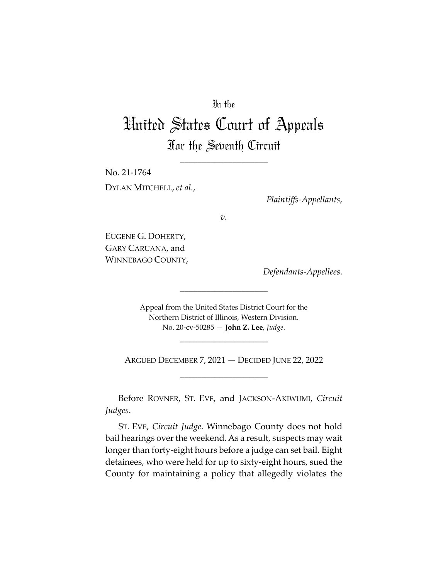## In the

# United States Court of Appeals For the Seventh Circuit

\_\_\_\_\_\_\_\_\_\_\_\_\_\_\_\_\_\_\_\_

No. 21-1764 DYLAN MITCHELL, *et al.*,

*Plaintiffs-Appellants*,

*v.*

EUGENE G. DOHERTY, GARY CARUANA, and WINNEBAGO COUNTY,

*Defendants-Appellees*.

Appeal from the United States District Court for the Northern District of Illinois, Western Division. No. 20-cv-50285 — **John Z. Lee**, *Judge*.

\_\_\_\_\_\_\_\_\_\_\_\_\_\_\_\_\_\_\_\_

\_\_\_\_\_\_\_\_\_\_\_\_\_\_\_\_\_\_\_\_

ARGUED DECEMBER 7, 2021 — DECIDED JUNE 22, 2022 \_\_\_\_\_\_\_\_\_\_\_\_\_\_\_\_\_\_\_\_

Before ROVNER, ST. EVE, and JACKSON-AKIWUMI, *Circuit Judges*.

ST. EVE, *Circuit Judge*. Winnebago County does not hold bail hearings over the weekend. As a result, suspects may wait longer than forty-eight hours before a judge can set bail. Eight detainees, who were held for up to sixty-eight hours, sued the County for maintaining a policy that allegedly violates the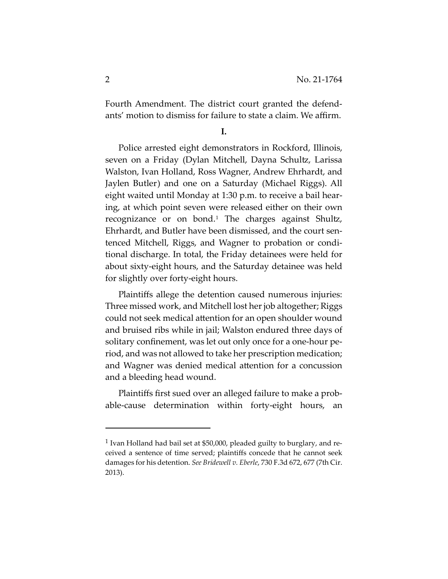Fourth Amendment. The district court granted the defendants' motion to dismiss for failure to state a claim. We affirm.

**I.** 

Police arrested eight demonstrators in Rockford, Illinois, seven on a Friday (Dylan Mitchell, Dayna Schultz, Larissa Walston, Ivan Holland, Ross Wagner, Andrew Ehrhardt, and Jaylen Butler) and one on a Saturday (Michael Riggs). All eight waited until Monday at 1:30 p.m. to receive a bail hearing, at which point seven were released either on their own recognizance or on bond.[1](#page-1-0) The charges against Shultz, Ehrhardt, and Butler have been dismissed, and the court sentenced Mitchell, Riggs, and Wagner to probation or conditional discharge. In total, the Friday detainees were held for about sixty-eight hours, and the Saturday detainee was held for slightly over forty-eight hours.

Plaintiffs allege the detention caused numerous injuries: Three missed work, and Mitchell lost her job altogether; Riggs could not seek medical attention for an open shoulder wound and bruised ribs while in jail; Walston endured three days of solitary confinement, was let out only once for a one-hour period, and was not allowed to take her prescription medication; and Wagner was denied medical attention for a concussion and a bleeding head wound.

Plaintiffs first sued over an alleged failure to make a probable-cause determination within forty-eight hours, an

<span id="page-1-0"></span><sup>1</sup> Ivan Holland had bail set at \$50,000, pleaded guilty to burglary, and received a sentence of time served; plaintiffs concede that he cannot seek damages for his detention. *See Bridewell v. Eberle*, 730 F.3d 672, 677 (7th Cir. 2013).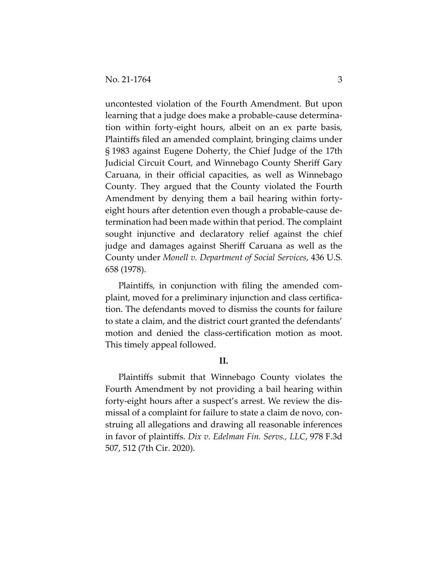uncontested violation of the Fourth Amendment. But upon learning that a judge does make a probable-cause determination within forty-eight hours, albeit on an ex parte basis, Plaintiffs filed an amended complaint, bringing claims under § 1983 against Eugene Doherty, the Chief Judge of the 17th Judicial Circuit Court, and Winnebago County Sheriff Gary Caruana, in their official capacities, as well as Winnebago County. They argued that the County violated the Fourth Amendment by denying them a bail hearing within fortyeight hours after detention even though a probable-cause determination had been made within that period. The complaint sought injunctive and declaratory relief against the chief judge and damages against Sheriff Caruana as well as the County under *Monell v. Department of Social Services*, 436 U.S. 658 (1978).

Plaintiffs, in conjunction with filing the amended complaint, moved for a preliminary injunction and class certification. The defendants moved to dismiss the counts for failure to state a claim, and the district court granted the defendants' motion and denied the class-certification motion as moot. This timely appeal followed.

### **II.**

Plaintiffs submit that Winnebago County violates the Fourth Amendment by not providing a bail hearing within forty-eight hours after a suspect's arrest. We review the dismissal of a complaint for failure to state a claim de novo, construing all allegations and drawing all reasonable inferences in favor of plaintiffs. *Dix v. Edelman Fin. Servs., LLC*, 978 F.3d 507, 512 (7th Cir. 2020).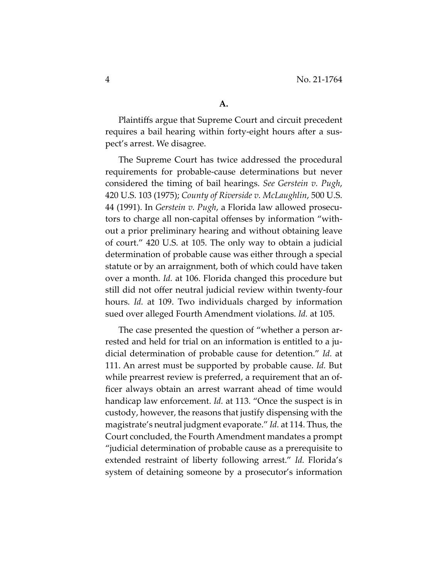Plaintiffs argue that Supreme Court and circuit precedent requires a bail hearing within forty-eight hours after a suspect's arrest. We disagree.

The Supreme Court has twice addressed the procedural requirements for probable-cause determinations but never considered the timing of bail hearings. *See Gerstein v. Pugh*, 420 U.S. 103 (1975); *County of Riverside v. McLaughlin*, 500 U.S. 44 (1991). In *Gerstein v. Pugh*, a Florida law allowed prosecutors to charge all non-capital offenses by information "without a prior preliminary hearing and without obtaining leave of court." 420 U.S. at 105. The only way to obtain a judicial determination of probable cause was either through a special statute or by an arraignment, both of which could have taken over a month. *Id.* at 106. Florida changed this procedure but still did not offer neutral judicial review within twenty-four hours. *Id.* at 109. Two individuals charged by information sued over alleged Fourth Amendment violations. *Id.* at 105.

The case presented the question of "whether a person arrested and held for trial on an information is entitled to a judicial determination of probable cause for detention." *Id.* at 111. An arrest must be supported by probable cause. *Id.* But while prearrest review is preferred, a requirement that an officer always obtain an arrest warrant ahead of time would handicap law enforcement. *Id.* at 113. "Once the suspect is in custody, however, the reasons that justify dispensing with the magistrate's neutral judgment evaporate." *Id.* at 114. Thus, the Court concluded, the Fourth Amendment mandates a prompt "judicial determination of probable cause as a prerequisite to extended restraint of liberty following arrest." *Id.* Florida's system of detaining someone by a prosecutor's information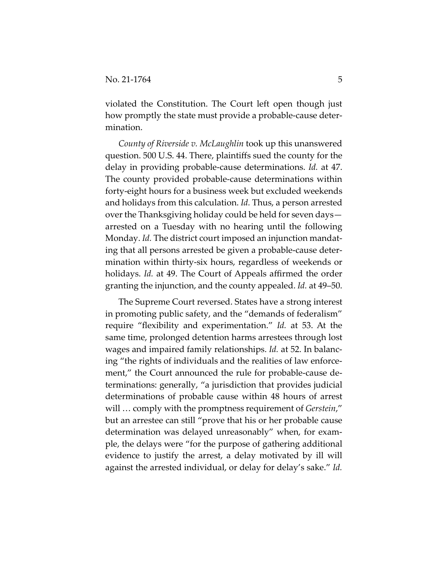violated the Constitution. The Court left open though just how promptly the state must provide a probable-cause determination.

*County of Riverside v. McLaughlin* took up this unanswered question. 500 U.S. 44. There, plaintiffs sued the county for the delay in providing probable-cause determinations. *Id.* at 47. The county provided probable-cause determinations within forty-eight hours for a business week but excluded weekends and holidays from this calculation. *Id.* Thus, a person arrested over the Thanksgiving holiday could be held for seven days arrested on a Tuesday with no hearing until the following Monday. *Id.* The district court imposed an injunction mandating that all persons arrested be given a probable-cause determination within thirty-six hours, regardless of weekends or holidays. *Id.* at 49. The Court of Appeals affirmed the order granting the injunction, and the county appealed. *Id.* at 49–50.

The Supreme Court reversed. States have a strong interest in promoting public safety, and the "demands of federalism" require "flexibility and experimentation." *Id.* at 53. At the same time, prolonged detention harms arrestees through lost wages and impaired family relationships. *Id.* at 52. In balancing "the rights of individuals and the realities of law enforcement," the Court announced the rule for probable-cause determinations: generally, "a jurisdiction that provides judicial determinations of probable cause within 48 hours of arrest will … comply with the promptness requirement of *Gerstein*," but an arrestee can still "prove that his or her probable cause determination was delayed unreasonably" when, for example, the delays were "for the purpose of gathering additional evidence to justify the arrest, a delay motivated by ill will against the arrested individual, or delay for delay's sake." *Id.*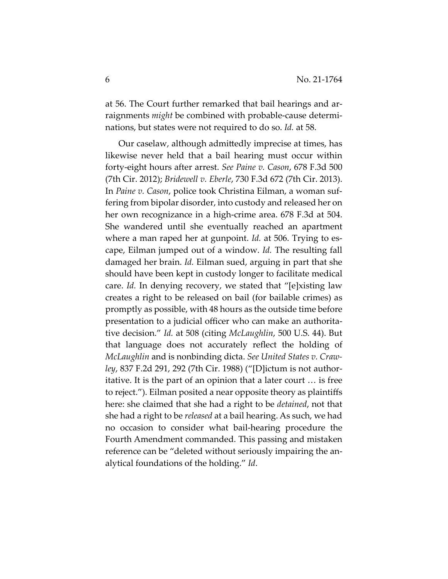at 56. The Court further remarked that bail hearings and arraignments *might* be combined with probable-cause determinations, but states were not required to do so. *Id.* at 58.

Our caselaw, although admittedly imprecise at times, has likewise never held that a bail hearing must occur within forty-eight hours after arrest. *See Paine v. Cason*, 678 F.3d 500 (7th Cir. 2012); *Bridewell v. Eberle*, 730 F.3d 672 (7th Cir. 2013). In *Paine v. Cason*, police took Christina Eilman, a woman suffering from bipolar disorder, into custody and released her on her own recognizance in a high-crime area. 678 F.3d at 504. She wandered until she eventually reached an apartment where a man raped her at gunpoint. *Id.* at 506. Trying to escape, Eilman jumped out of a window. *Id.* The resulting fall damaged her brain. *Id.* Eilman sued, arguing in part that she should have been kept in custody longer to facilitate medical care. *Id.* In denying recovery, we stated that "[e]xisting law creates a right to be released on bail (for bailable crimes) as promptly as possible, with 48 hours as the outside time before presentation to a judicial officer who can make an authoritative decision." *Id.* at 508 (citing *McLaughlin*, 500 U.S. 44). But that language does not accurately reflect the holding of *McLaughlin* and is nonbinding dicta. *See United States v. Crawley*, 837 F.2d 291, 292 (7th Cir. 1988) ("[D]ictum is not authoritative. It is the part of an opinion that a later court … is free to reject."). Eilman posited a near opposite theory as plaintiffs here: she claimed that she had a right to be *detained*, not that she had a right to be *released* at a bail hearing. As such, we had no occasion to consider what bail-hearing procedure the Fourth Amendment commanded. This passing and mistaken reference can be "deleted without seriously impairing the analytical foundations of the holding." *Id*.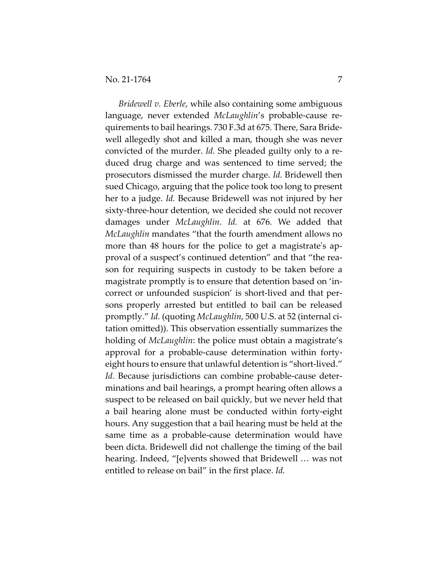*Bridewell v. Eberle*, while also containing some ambiguous language, never extended *McLaughlin*'s probable-cause requirements to bail hearings. 730 F.3d at 675. There, Sara Bridewell allegedly shot and killed a man, though she was never convicted of the murder. *Id.* She pleaded guilty only to a reduced drug charge and was sentenced to time served; the prosecutors dismissed the murder charge. *Id.* Bridewell then sued Chicago, arguing that the police took too long to present her to a judge. *Id.* Because Bridewell was not injured by her sixty-three-hour detention, we decided she could not recover damages under *McLaughlin*. *Id.* at 676. We added that *McLaughlin* mandates "that the fourth amendment allows no more than 48 hours for the police to get a magistrate's approval of a suspect's continued detention" and that "the reason for requiring suspects in custody to be taken before a magistrate promptly is to ensure that detention based on 'incorrect or unfounded suspicion' is short-lived and that persons properly arrested but entitled to bail can be released promptly." *Id.* (quoting *McLaughlin*, 500 U.S. at 52 (internal citation omitted)). This observation essentially summarizes the holding of *McLaughlin*: the police must obtain a magistrate's approval for a probable-cause determination within fortyeight hours to ensure that unlawful detention is "short-lived." *Id.* Because jurisdictions can combine probable-cause determinations and bail hearings, a prompt hearing often allows a suspect to be released on bail quickly, but we never held that a bail hearing alone must be conducted within forty-eight hours. Any suggestion that a bail hearing must be held at the same time as a probable-cause determination would have been dicta. Bridewell did not challenge the timing of the bail hearing. Indeed, "[e]vents showed that Bridewell … was not entitled to release on bail" in the first place. *Id.*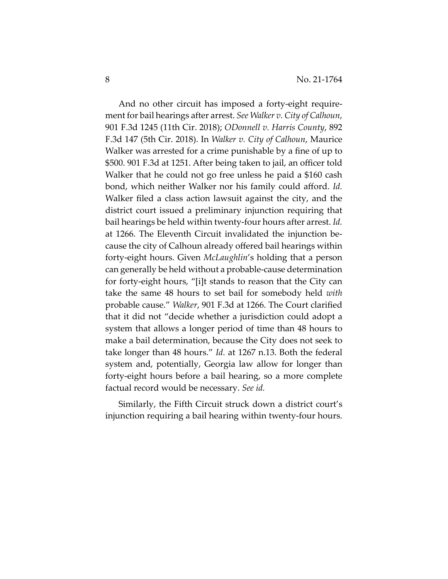And no other circuit has imposed a forty-eight requirement for bail hearings after arrest. *See Walker v. City of Calhoun*, 901 F.3d 1245 (11th Cir. 2018); *ODonnell v. Harris County*, 892 F.3d 147 (5th Cir. 2018). In *Walker v. City of Calhoun*, Maurice Walker was arrested for a crime punishable by a fine of up to \$500. 901 F.3d at 1251. After being taken to jail, an officer told Walker that he could not go free unless he paid a \$160 cash bond, which neither Walker nor his family could afford. *Id.* Walker filed a class action lawsuit against the city, and the district court issued a preliminary injunction requiring that bail hearings be held within twenty-four hours after arrest. *Id.* at 1266. The Eleventh Circuit invalidated the injunction because the city of Calhoun already offered bail hearings within forty-eight hours. Given *McLaughlin*'s holding that a person can generally be held without a probable-cause determination for forty-eight hours, "[i]t stands to reason that the City can take the same 48 hours to set bail for somebody held *with*  probable cause." *Walker*, 901 F.3d at 1266. The Court clarified that it did not "decide whether a jurisdiction could adopt a system that allows a longer period of time than 48 hours to make a bail determination, because the City does not seek to take longer than 48 hours." *Id.* at 1267 n.13. Both the federal system and, potentially, Georgia law allow for longer than forty-eight hours before a bail hearing, so a more complete factual record would be necessary. *See id.*

Similarly, the Fifth Circuit struck down a district court's injunction requiring a bail hearing within twenty-four hours.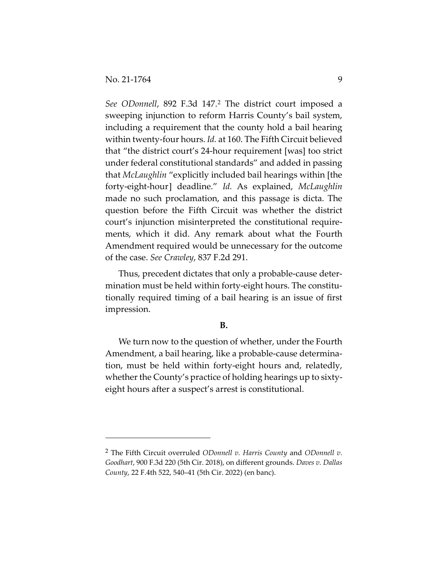*See ODonnell*, 892 F.3d 147.[2](#page-8-0) The district court imposed a sweeping injunction to reform Harris County's bail system, including a requirement that the county hold a bail hearing within twenty-four hours. *Id.* at 160. The Fifth Circuit believed that "the district court's 24-hour requirement [was] too strict under federal constitutional standards" and added in passing that *McLaughlin* "explicitly included bail hearings within [the forty-eight-hour] deadline." *Id.* As explained, *McLaughlin* made no such proclamation, and this passage is dicta. The question before the Fifth Circuit was whether the district court's injunction misinterpreted the constitutional requirements, which it did. Any remark about what the Fourth Amendment required would be unnecessary for the outcome of the case. *See Crawley*, 837 F.2d 291.

Thus, precedent dictates that only a probable-cause determination must be held within forty-eight hours. The constitutionally required timing of a bail hearing is an issue of first impression.

### **B.**

We turn now to the question of whether, under the Fourth Amendment, a bail hearing, like a probable-cause determination, must be held within forty-eight hours and, relatedly, whether the County's practice of holding hearings up to sixtyeight hours after a suspect's arrest is constitutional.

<span id="page-8-0"></span><sup>2</sup> The Fifth Circuit overruled *ODonnell v. Harris County* and *ODonnell v. Goodhart*, 900 F.3d 220 (5th Cir. 2018), on different grounds. *Daves v. Dallas County*, 22 F.4th 522, 540–41 (5th Cir. 2022) (en banc).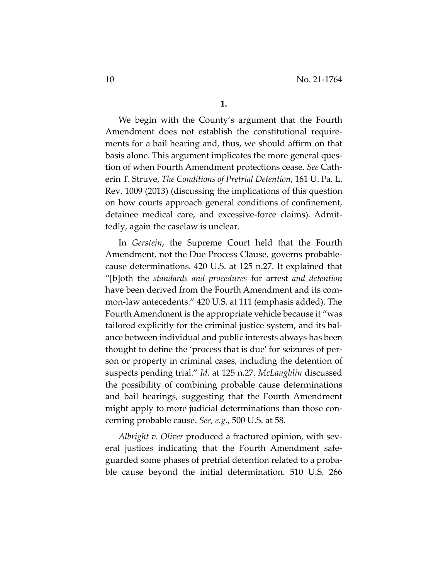We begin with the County's argument that the Fourth Amendment does not establish the constitutional requirements for a bail hearing and, thus, we should affirm on that basis alone. This argument implicates the more general question of when Fourth Amendment protections cease. *See* Catherin T. Struve, *The Conditions of Pretrial Detention*, 161 U. Pa. L. Rev. 1009 (2013) (discussing the implications of this question on how courts approach general conditions of confinement, detainee medical care, and excessive-force claims). Admittedly, again the caselaw is unclear.

In *Gerstein*, the Supreme Court held that the Fourth Amendment, not the Due Process Clause, governs probablecause determinations. 420 U.S. at 125 n.27. It explained that "[b]oth the *standards and procedures* for arrest *and detention* have been derived from the Fourth Amendment and its common-law antecedents." 420 U.S. at 111 (emphasis added). The Fourth Amendment is the appropriate vehicle because it "was tailored explicitly for the criminal justice system, and its balance between individual and public interests always has been thought to define the 'process that is due' for seizures of person or property in criminal cases, including the detention of suspects pending trial." *Id.* at 125 n.27. *McLaughlin* discussed the possibility of combining probable cause determinations and bail hearings, suggesting that the Fourth Amendment might apply to more judicial determinations than those concerning probable cause. *See, e.g.*, 500 U.S. at 58.

*Albright v. Oliver* produced a fractured opinion, with several justices indicating that the Fourth Amendment safeguarded some phases of pretrial detention related to a probable cause beyond the initial determination. 510 U.S. 266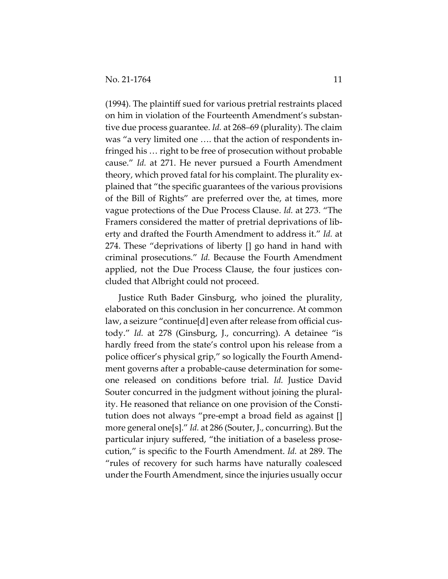(1994). The plaintiff sued for various pretrial restraints placed on him in violation of the Fourteenth Amendment's substantive due process guarantee. *Id.* at 268–69 (plurality). The claim was "a very limited one …. that the action of respondents infringed his … right to be free of prosecution without probable cause." *Id.* at 271. He never pursued a Fourth Amendment theory, which proved fatal for his complaint. The plurality explained that "the specific guarantees of the various provisions of the Bill of Rights" are preferred over the, at times, more vague protections of the Due Process Clause. *Id.* at 273. "The Framers considered the matter of pretrial deprivations of liberty and drafted the Fourth Amendment to address it." *Id.* at 274. These "deprivations of liberty [] go hand in hand with criminal prosecutions." *Id.* Because the Fourth Amendment applied, not the Due Process Clause, the four justices concluded that Albright could not proceed.

Justice Ruth Bader Ginsburg, who joined the plurality, elaborated on this conclusion in her concurrence. At common law, a seizure "continue[d] even after release from official custody." *Id.* at 278 (Ginsburg, J., concurring). A detainee "is hardly freed from the state's control upon his release from a police officer's physical grip," so logically the Fourth Amendment governs after a probable-cause determination for someone released on conditions before trial. *Id.* Justice David Souter concurred in the judgment without joining the plurality. He reasoned that reliance on one provision of the Constitution does not always "pre-empt a broad field as against [] more general one[s]." *Id.* at 286 (Souter, J., concurring). But the particular injury suffered, "the initiation of a baseless prosecution," is specific to the Fourth Amendment. *Id.* at 289. The "rules of recovery for such harms have naturally coalesced under the Fourth Amendment, since the injuries usually occur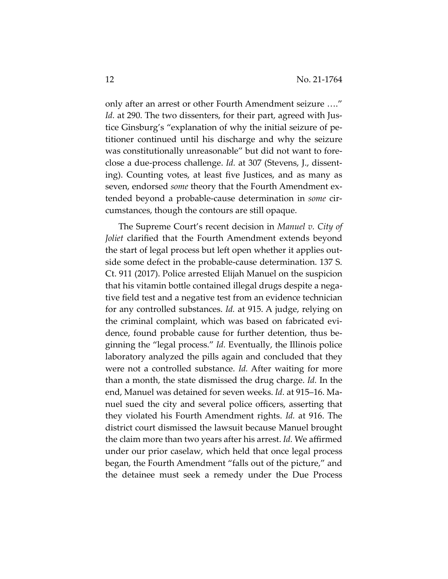only after an arrest or other Fourth Amendment seizure …." *Id.* at 290. The two dissenters, for their part, agreed with Justice Ginsburg's "explanation of why the initial seizure of petitioner continued until his discharge and why the seizure was constitutionally unreasonable" but did not want to foreclose a due-process challenge. *Id.* at 307 (Stevens, J., dissenting). Counting votes, at least five Justices, and as many as seven, endorsed *some* theory that the Fourth Amendment extended beyond a probable-cause determination in *some* circumstances, though the contours are still opaque.

The Supreme Court's recent decision in *Manuel v. City of Joliet* clarified that the Fourth Amendment extends beyond the start of legal process but left open whether it applies outside some defect in the probable-cause determination. 137 S. Ct. 911 (2017). Police arrested Elijah Manuel on the suspicion that his vitamin bottle contained illegal drugs despite a negative field test and a negative test from an evidence technician for any controlled substances. *Id.* at 915. A judge, relying on the criminal complaint, which was based on fabricated evidence, found probable cause for further detention, thus beginning the "legal process." *Id.* Eventually, the Illinois police laboratory analyzed the pills again and concluded that they were not a controlled substance. *Id.* After waiting for more than a month, the state dismissed the drug charge. *Id.* In the end, Manuel was detained for seven weeks. *Id.* at 915–16. Manuel sued the city and several police officers, asserting that they violated his Fourth Amendment rights. *Id.* at 916. The district court dismissed the lawsuit because Manuel brought the claim more than two years after his arrest. *Id.* We affirmed under our prior caselaw, which held that once legal process began, the Fourth Amendment "falls out of the picture," and the detainee must seek a remedy under the Due Process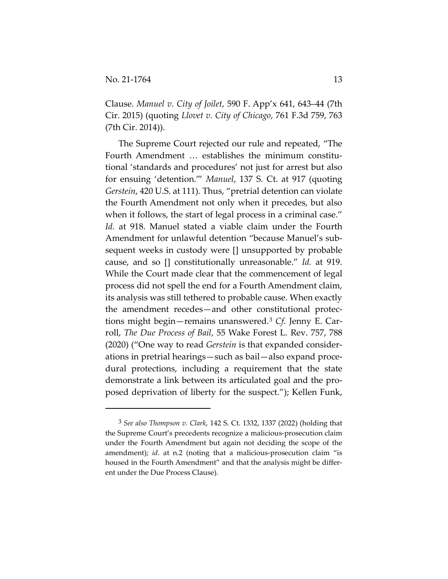Clause. *Manuel v. City of Joilet*, 590 F. App'x 641, 643–44 (7th Cir. 2015) (quoting *Llovet v. City of Chicago*, 761 F.3d 759, 763 (7th Cir. 2014)).

The Supreme Court rejected our rule and repeated, "The Fourth Amendment … establishes the minimum constitutional 'standards and procedures' not just for arrest but also for ensuing 'detention.'" *Manuel*, 137 S. Ct. at 917 (quoting *Gerstein*, 420 U.S. at 111). Thus, "pretrial detention can violate the Fourth Amendment not only when it precedes, but also when it follows, the start of legal process in a criminal case." *Id.* at 918. Manuel stated a viable claim under the Fourth Amendment for unlawful detention "because Manuel's subsequent weeks in custody were [] unsupported by probable cause, and so [] constitutionally unreasonable." *Id.* at 919. While the Court made clear that the commencement of legal process did not spell the end for a Fourth Amendment claim, its analysis was still tethered to probable cause. When exactly the amendment recedes—and other constitutional protections might begin—remains unanswered.[3](#page-12-0) *Cf.* Jenny E. Carroll, *The Due Process of Bail*, 55 Wake Forest L. Rev. 757, 788 (2020) ("One way to read *Gerstein* is that expanded considerations in pretrial hearings—such as bail—also expand procedural protections, including a requirement that the state demonstrate a link between its articulated goal and the proposed deprivation of liberty for the suspect."); Kellen Funk,

<span id="page-12-0"></span><sup>3</sup> *See also Thompson v. Clark*, 142 S. Ct. 1332, 1337 (2022) (holding that the Supreme Court's precedents recognize a malicious-prosecution claim under the Fourth Amendment but again not deciding the scope of the amendment); *id*. at n.2 (noting that a malicious-prosecution claim "is housed in the Fourth Amendment" and that the analysis might be different under the Due Process Clause).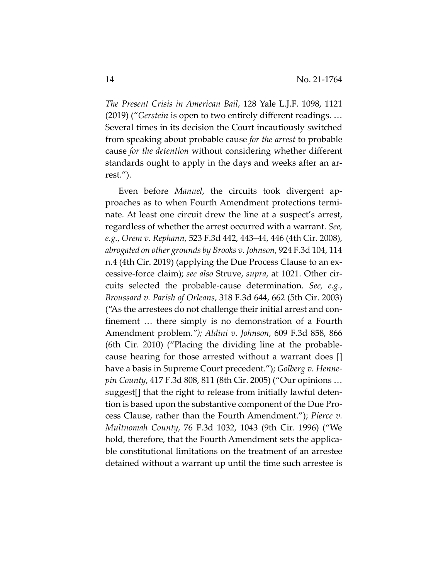*The Present Crisis in American Bail*, 128 Yale L.J.F. 1098, 1121 (2019) ("*Gerstein* is open to two entirely different readings. … Several times in its decision the Court incautiously switched from speaking about probable cause *for the arrest* to probable cause *for the detention* without considering whether different standards ought to apply in the days and weeks after an arrest.").

Even before *Manuel*, the circuits took divergent approaches as to when Fourth Amendment protections terminate. At least one circuit drew the line at a suspect's arrest, regardless of whether the arrest occurred with a warrant. *See, e.g.*, *Orem v. Rephann*, 523 F.3d 442, 443–44, 446 (4th Cir. 2008), *abrogated on other grounds by Brooks v. Johnson*, 924 F.3d 104, 114 n.4 (4th Cir. 2019) (applying the Due Process Clause to an excessive-force claim); *see also* Struve, *supra*, at 1021. Other circuits selected the probable-cause determination. *See, e.g.*, *Broussard v. Parish of Orleans*, 318 F.3d 644, 662 (5th Cir. 2003) ("As the arrestees do not challenge their initial arrest and confinement … there simply is no demonstration of a Fourth Amendment problem*."); Aldini v. Johnson*, 609 F.3d 858, 866 (6th Cir. 2010) ("Placing the dividing line at the probablecause hearing for those arrested without a warrant does [] have a basis in Supreme Court precedent."); *Golberg v. Hennepin County*, 417 F.3d 808, 811 (8th Cir. 2005) ("Our opinions … suggest[] that the right to release from initially lawful detention is based upon the substantive component of the Due Process Clause, rather than the Fourth Amendment."); *Pierce v. Multnomah County*, 76 F.3d 1032, 1043 (9th Cir. 1996) ("We hold, therefore, that the Fourth Amendment sets the applicable constitutional limitations on the treatment of an arrestee detained without a warrant up until the time such arrestee is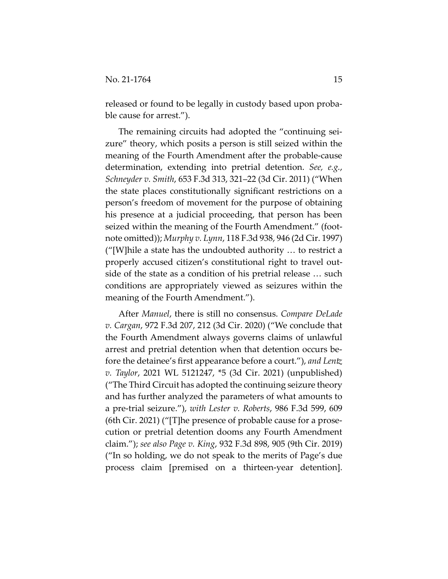released or found to be legally in custody based upon probable cause for arrest.").

The remaining circuits had adopted the "continuing seizure" theory, which posits a person is still seized within the meaning of the Fourth Amendment after the probable-cause determination, extending into pretrial detention. *See, e.g.*, *Schneyder v. Smith*, 653 F.3d 313, 321–22 (3d Cir. 2011) ("When the state places constitutionally significant restrictions on a person's freedom of movement for the purpose of obtaining his presence at a judicial proceeding, that person has been seized within the meaning of the Fourth Amendment." (footnote omitted)); *Murphy v. Lynn*, 118 F.3d 938, 946 (2d Cir. 1997) ("[W]hile a state has the undoubted authority … to restrict a properly accused citizen's constitutional right to travel outside of the state as a condition of his pretrial release … such conditions are appropriately viewed as seizures within the meaning of the Fourth Amendment.").

After *Manuel*, there is still no consensus. *Compare DeLade v. Cargan*, 972 F.3d 207, 212 (3d Cir. 2020) ("We conclude that the Fourth Amendment always governs claims of unlawful arrest and pretrial detention when that detention occurs before the detainee's first appearance before a court."), *and Lentz v. Taylor*, 2021 WL 5121247, \*5 (3d Cir. 2021) (unpublished) ("The Third Circuit has adopted the continuing seizure theory and has further analyzed the parameters of what amounts to a pre-trial seizure."), *with Lester v. Roberts*, 986 F.3d 599, 609 (6th Cir. 2021) ("[T]he presence of probable cause for a prosecution or pretrial detention dooms any Fourth Amendment claim."); *see also Page v. King*, 932 F.3d 898, 905 (9th Cir. 2019) ("In so holding, we do not speak to the merits of Page's due process claim [premised on a thirteen-year detention].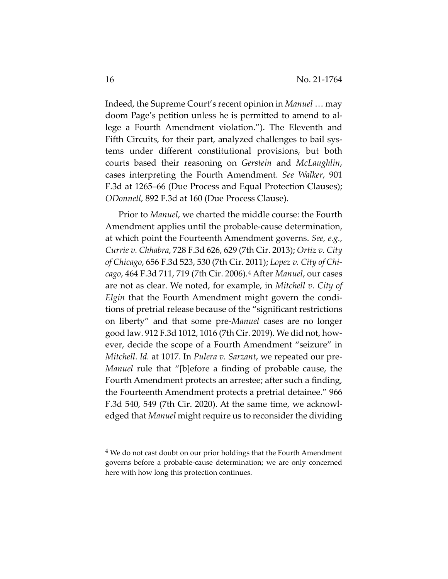Indeed, the Supreme Court's recent opinion in *Manuel* … may doom Page's petition unless he is permitted to amend to allege a Fourth Amendment violation."). The Eleventh and Fifth Circuits, for their part, analyzed challenges to bail systems under different constitutional provisions, but both courts based their reasoning on *Gerstein* and *McLaughlin*, cases interpreting the Fourth Amendment. *See Walker*, 901 F.3d at 1265–66 (Due Process and Equal Protection Clauses); *ODonnell*, 892 F.3d at 160 (Due Process Clause).

Prior to *Manuel*, we charted the middle course: the Fourth Amendment applies until the probable-cause determination, at which point the Fourteenth Amendment governs. *See, e.g.*, *Currie v. Chhabra*, 728 F.3d 626, 629 (7th Cir. 2013); *Ortiz v. City of Chicago*, 656 F.3d 523, 530 (7th Cir. 2011); *Lopez v. City of Chicago*, 464 F.3d 711, 719 (7th Cir. 2006).[4](#page-15-0) After *Manuel*, our cases are not as clear. We noted, for example, in *Mitchell v. City of Elgin* that the Fourth Amendment might govern the conditions of pretrial release because of the "significant restrictions on liberty" and that some pre-*Manuel* cases are no longer good law. 912 F.3d 1012, 1016 (7th Cir. 2019). We did not, however, decide the scope of a Fourth Amendment "seizure" in *Mitchell*. *Id.* at 1017. In *Pulera v. Sarzant*, we repeated our pre-*Manuel* rule that "[b]efore a finding of probable cause, the Fourth Amendment protects an arrestee; after such a finding, the Fourteenth Amendment protects a pretrial detainee." 966 F.3d 540, 549 (7th Cir. 2020). At the same time, we acknowledged that *Manuel* might require us to reconsider the dividing

<span id="page-15-0"></span><sup>&</sup>lt;sup>4</sup> We do not cast doubt on our prior holdings that the Fourth Amendment governs before a probable-cause determination; we are only concerned here with how long this protection continues.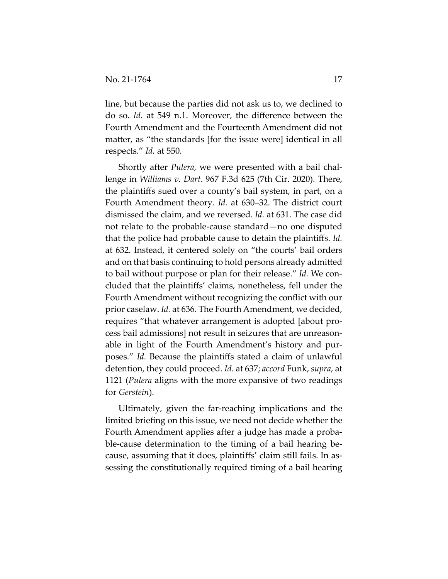line, but because the parties did not ask us to, we declined to do so. *Id.* at 549 n.1. Moreover, the difference between the Fourth Amendment and the Fourteenth Amendment did not matter, as "the standards [for the issue were] identical in all respects." *Id.* at 550.

Shortly after *Pulera*, we were presented with a bail challenge in *Williams v. Dart*. 967 F.3d 625 (7th Cir. 2020). There, the plaintiffs sued over a county's bail system, in part, on a Fourth Amendment theory. *Id.* at 630–32. The district court dismissed the claim, and we reversed. *Id.* at 631. The case did not relate to the probable-cause standard—no one disputed that the police had probable cause to detain the plaintiffs. *Id.* at 632. Instead, it centered solely on "the courts' bail orders and on that basis continuing to hold persons already admitted to bail without purpose or plan for their release." *Id.* We concluded that the plaintiffs' claims, nonetheless, fell under the Fourth Amendment without recognizing the conflict with our prior caselaw. *Id.* at 636. The Fourth Amendment, we decided, requires "that whatever arrangement is adopted [about process bail admissions] not result in seizures that are unreasonable in light of the Fourth Amendment's history and purposes." *Id.* Because the plaintiffs stated a claim of unlawful detention, they could proceed. *Id.* at 637; *accord* Funk, *supra*, at 1121 (*Pulera* aligns with the more expansive of two readings for *Gerstein*).

Ultimately, given the far-reaching implications and the limited briefing on this issue, we need not decide whether the Fourth Amendment applies after a judge has made a probable-cause determination to the timing of a bail hearing because, assuming that it does, plaintiffs' claim still fails. In assessing the constitutionally required timing of a bail hearing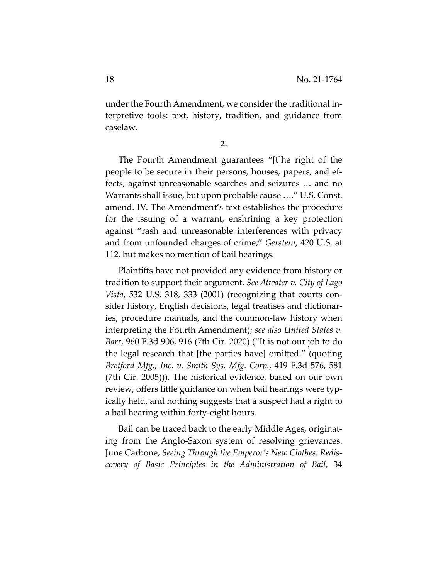under the Fourth Amendment, we consider the traditional interpretive tools: text, history, tradition, and guidance from caselaw.

**2.** 

The Fourth Amendment guarantees "[t]he right of the people to be secure in their persons, houses, papers, and effects, against unreasonable searches and seizures … and no Warrants shall issue, but upon probable cause …." U.S. Const. amend. IV. The Amendment's text establishes the procedure for the issuing of a warrant, enshrining a key protection against "rash and unreasonable interferences with privacy and from unfounded charges of crime," *Gerstein*, 420 U.S. at 112, but makes no mention of bail hearings.

Plaintiffs have not provided any evidence from history or tradition to support their argument. *See Atwater v. City of Lago Vista*, 532 U.S. 318, 333 (2001) (recognizing that courts consider history, English decisions, legal treatises and dictionaries, procedure manuals, and the common-law history when interpreting the Fourth Amendment); *see also United States v. Barr*, 960 F.3d 906, 916 (7th Cir. 2020) ("It is not our job to do the legal research that [the parties have] omitted." (quoting *Bretford Mfg., Inc. v. Smith Sys. Mfg. Corp.*, 419 F.3d 576, 581 (7th Cir. 2005))). The historical evidence, based on our own review, offers little guidance on when bail hearings were typically held, and nothing suggests that a suspect had a right to a bail hearing within forty-eight hours.

Bail can be traced back to the early Middle Ages, originating from the Anglo-Saxon system of resolving grievances. June Carbone, *Seeing Through the Emperor's New Clothes: Rediscovery of Basic Principles in the Administration of Bail*, 34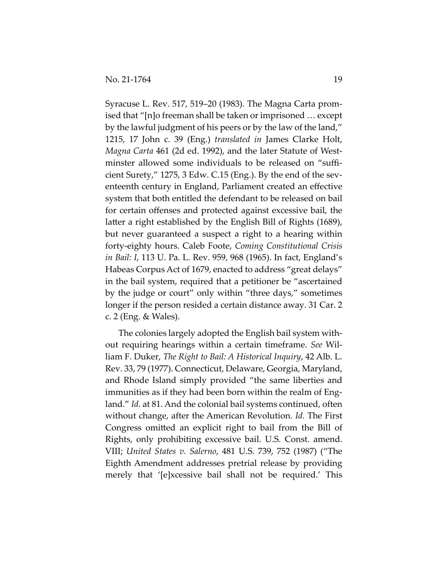Syracuse L. Rev. 517, 519–20 (1983). The Magna Carta promised that "[n]o freeman shall be taken or imprisoned … except by the lawful judgment of his peers or by the law of the land," 1215, 17 John c. 39 (Eng.) *translated in* James Clarke Holt, *Magna Carta* 461 (2d ed. 1992), and the later Statute of Westminster allowed some individuals to be released on "sufficient Surety," 1275, 3 Edw. C.15 (Eng.). By the end of the seventeenth century in England, Parliament created an effective system that both entitled the defendant to be released on bail for certain offenses and protected against excessive bail, the latter a right established by the English Bill of Rights (1689), but never guaranteed a suspect a right to a hearing within forty-eighty hours. Caleb Foote, *Coming Constitutional Crisis in Bail: I*, 113 U. Pa. L. Rev. 959, 968 (1965). In fact, England's Habeas Corpus Act of 1679, enacted to address "great delays" in the bail system, required that a petitioner be "ascertained by the judge or court" only within "three days," sometimes longer if the person resided a certain distance away. 31 Car. 2 c. 2 (Eng. & Wales).

The colonies largely adopted the English bail system without requiring hearings within a certain timeframe. *See* William F. Duker, *The Right to Bail: A Historical Inquiry*, 42 Alb. L. Rev. 33, 79 (1977). Connecticut, Delaware, Georgia, Maryland, and Rhode Island simply provided "the same liberties and immunities as if they had been born within the realm of England." *Id.* at 81. And the colonial bail systems continued, often without change, after the American Revolution. *Id.* The First Congress omitted an explicit right to bail from the Bill of Rights, only prohibiting excessive bail. U.S. Const. amend. VIII; *United States v. Salerno*, 481 U.S. 739, 752 (1987) ("The Eighth Amendment addresses pretrial release by providing merely that '[e]xcessive bail shall not be required.' This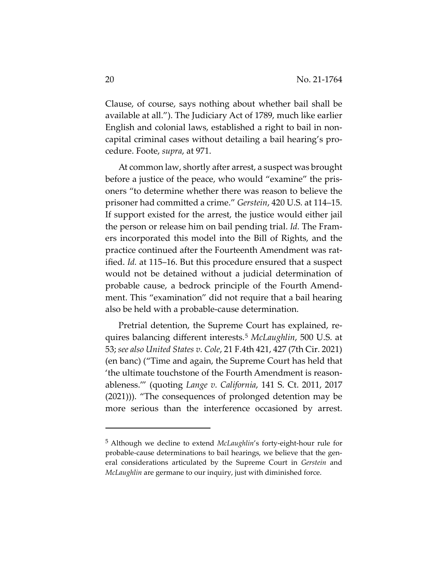Clause, of course, says nothing about whether bail shall be available at all."). The Judiciary Act of 1789, much like earlier English and colonial laws, established a right to bail in noncapital criminal cases without detailing a bail hearing's procedure. Foote, *supra*, at 971.

At common law, shortly after arrest, a suspect was brought before a justice of the peace, who would "examine" the prisoners "to determine whether there was reason to believe the prisoner had committed a crime." *Gerstein*, 420 U.S. at 114–15. If support existed for the arrest, the justice would either jail the person or release him on bail pending trial. *Id.* The Framers incorporated this model into the Bill of Rights, and the practice continued after the Fourteenth Amendment was ratified. *Id.* at 115–16. But this procedure ensured that a suspect would not be detained without a judicial determination of probable cause, a bedrock principle of the Fourth Amendment. This "examination" did not require that a bail hearing also be held with a probable-cause determination.

Pretrial detention, the Supreme Court has explained, requires balancing different interests.[5](#page-19-0) *McLaughlin*, 500 U.S. at 53; *see also United States v. Cole*, 21 F.4th 421, 427 (7th Cir. 2021) (en banc) ("Time and again, the Supreme Court has held that 'the ultimate touchstone of the Fourth Amendment is reasonableness.'" (quoting *Lange v. California*, 141 S. Ct. 2011, 2017 (2021))). "The consequences of prolonged detention may be more serious than the interference occasioned by arrest.

<span id="page-19-0"></span><sup>5</sup> Although we decline to extend *McLaughlin*'s forty-eight-hour rule for probable-cause determinations to bail hearings, we believe that the general considerations articulated by the Supreme Court in *Gerstein* and *McLaughlin* are germane to our inquiry, just with diminished force.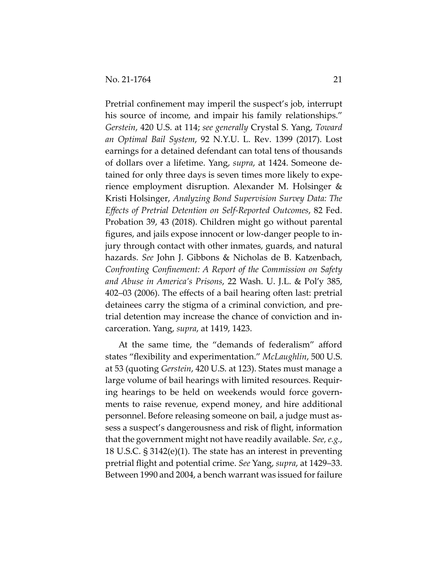Pretrial confinement may imperil the suspect's job, interrupt his source of income, and impair his family relationships." *Gerstein*, 420 U.S. at 114; *see generally* Crystal S. Yang, *Toward an Optimal Bail System*, 92 N.Y.U. L. Rev. 1399 (2017). Lost earnings for a detained defendant can total tens of thousands of dollars over a lifetime. Yang, *supra*, at 1424. Someone detained for only three days is seven times more likely to experience employment disruption. Alexander M. Holsinger & Kristi Holsinger, *Analyzing Bond Supervision Survey Data: The Effects of Pretrial Detention on Self-Reported Outcomes*, 82 Fed. Probation 39, 43 (2018). Children might go without parental figures, and jails expose innocent or low-danger people to injury through contact with other inmates, guards, and natural hazards. *See* John J. Gibbons & Nicholas de B. Katzenbach, *Confronting Confinement: A Report of the Commission on Safety and Abuse in America's Prisons*, 22 Wash. U. J.L. & Pol'y 385, 402–03 (2006). The effects of a bail hearing often last: pretrial detainees carry the stigma of a criminal conviction, and pretrial detention may increase the chance of conviction and incarceration. Yang, *supra*, at 1419, 1423.

At the same time, the "demands of federalism" afford states "flexibility and experimentation." *McLaughlin*, 500 U.S. at 53 (quoting *Gerstein*, 420 U.S. at 123). States must manage a large volume of bail hearings with limited resources. Requiring hearings to be held on weekends would force governments to raise revenue, expend money, and hire additional personnel. Before releasing someone on bail, a judge must assess a suspect's dangerousness and risk of flight, information that the government might not have readily available. *See, e.g.*, 18 U.S.C. § 3142(e)(1). The state has an interest in preventing pretrial flight and potential crime. *See* Yang, *supra*, at 1429–33. Between 1990 and 2004, a bench warrant was issued for failure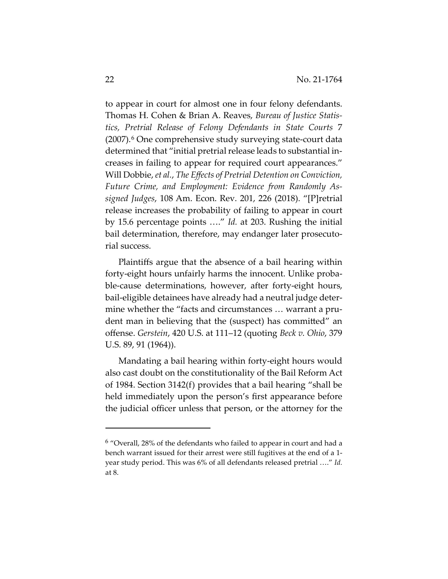to appear in court for almost one in four felony defendants. Thomas H. Cohen & Brian A. Reaves, *Bureau of Justice Statistics, Pretrial Release of Felony Defendants in State Courts* 7  $(2007)$ .<sup>[6](#page-21-0)</sup> One comprehensive study surveying state-court data determined that "initial pretrial release leads to substantial increases in failing to appear for required court appearances." Will Dobbie, *et al.*, *The Effects of Pretrial Detention on Conviction, Future Crime, and Employment: Evidence from Randomly Assigned Judges*, 108 Am. Econ. Rev. 201, 226 (2018). "[P]retrial release increases the probability of failing to appear in court by 15.6 percentage points …." *Id.* at 203. Rushing the initial bail determination, therefore, may endanger later prosecutorial success.

Plaintiffs argue that the absence of a bail hearing within forty-eight hours unfairly harms the innocent. Unlike probable-cause determinations, however, after forty-eight hours, bail-eligible detainees have already had a neutral judge determine whether the "facts and circumstances … warrant a prudent man in believing that the (suspect) has committed" an offense. *Gerstein*, 420 U.S. at 111–12 (quoting *Beck v. Ohio*, 379 U.S. 89, 91 (1964)).

Mandating a bail hearing within forty-eight hours would also cast doubt on the constitutionality of the Bail Reform Act of 1984. Section 3142(f) provides that a bail hearing "shall be held immediately upon the person's first appearance before the judicial officer unless that person, or the attorney for the

<span id="page-21-0"></span><sup>6</sup> "Overall, 28% of the defendants who failed to appear in court and had a bench warrant issued for their arrest were still fugitives at the end of a 1 year study period. This was 6% of all defendants released pretrial …." *Id.* at 8.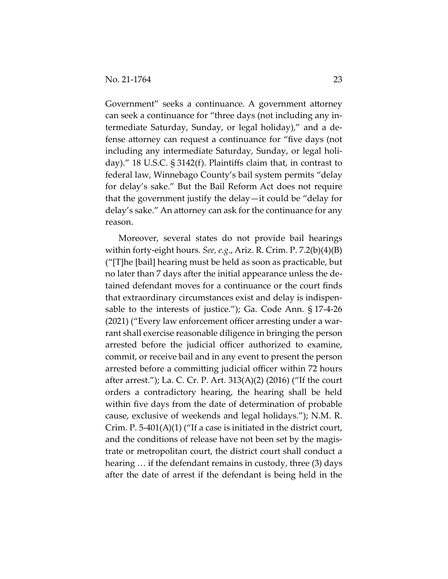Government" seeks a continuance. A government attorney can seek a continuance for "three days (not including any intermediate Saturday, Sunday, or legal holiday)," and a defense attorney can request a continuance for "five days (not including any intermediate Saturday, Sunday, or legal holiday)." 18 U.S.C. § 3142(f). Plaintiffs claim that, in contrast to federal law, Winnebago County's bail system permits "delay for delay's sake." But the Bail Reform Act does not require that the government justify the delay—it could be "delay for delay's sake." An attorney can ask for the continuance for any reason.

Moreover, several states do not provide bail hearings within forty-eight hours. *See, e.g.*, Ariz. R. Crim. P. 7.2(b)(4)(B) ("[T]he [bail] hearing must be held as soon as practicable, but no later than 7 days after the initial appearance unless the detained defendant moves for a continuance or the court finds that extraordinary circumstances exist and delay is indispensable to the interests of justice."); Ga. Code Ann. § 17-4-26 (2021) ("Every law enforcement officer arresting under a warrant shall exercise reasonable diligence in bringing the person arrested before the judicial officer authorized to examine, commit, or receive bail and in any event to present the person arrested before a committing judicial officer within 72 hours after arrest."); La. C. Cr. P. Art. 313(A)(2) (2016) ("If the court orders a contradictory hearing, the hearing shall be held within five days from the date of determination of probable cause, exclusive of weekends and legal holidays."); N.M. R. Crim. P. 5-401(A)(1) ("If a case is initiated in the district court, and the conditions of release have not been set by the magistrate or metropolitan court, the district court shall conduct a hearing … if the defendant remains in custody, three (3) days after the date of arrest if the defendant is being held in the